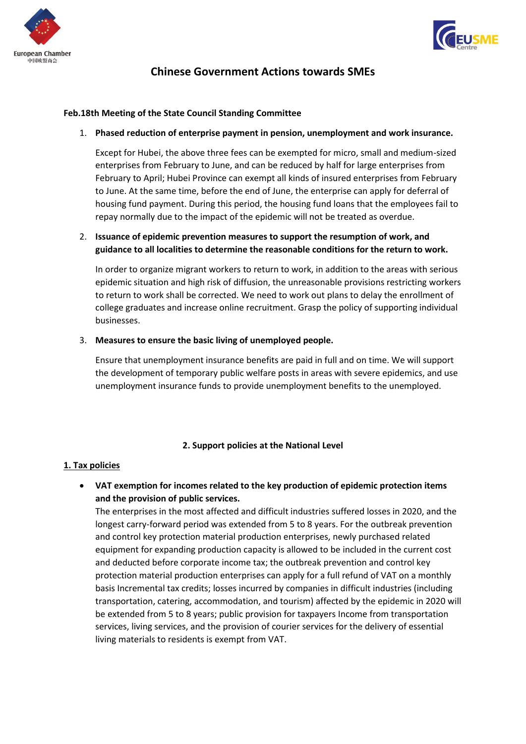



# **Chinese Government Actions towards SMEs**

### **Feb.18th Meeting of the State Council Standing Committee**

1. **Phased reduction of enterprise payment in pension, unemployment and work insurance.**

Except for Hubei, the above three fees can be exempted for micro, small and medium-sized enterprises from February to June, and can be reduced by half for large enterprises from February to April; Hubei Province can exempt all kinds of insured enterprises from February to June. At the same time, before the end of June, the enterprise can apply for deferral of housing fund payment. During this period, the housing fund loans that the employees fail to repay normally due to the impact of the epidemic will not be treated as overdue.

# 2. **Issuance of epidemic prevention measures to support the resumption of work, and guidance to all localities to determine the reasonable conditions for the return to work.**

In order to organize migrant workers to return to work, in addition to the areas with serious epidemic situation and high risk of diffusion, the unreasonable provisions restricting workers to return to work shall be corrected. We need to work out plans to delay the enrollment of college graduates and increase online recruitment. Grasp the policy of supporting individual businesses.

#### 3. **Measures to ensure the basic living of unemployed people.**

Ensure that unemployment insurance benefits are paid in full and on time. We will support the development of temporary public welfare posts in areas with severe epidemics, and use unemployment insurance funds to provide unemployment benefits to the unemployed.

# **2. Support policies at the National Level**

#### **1. Tax policies**

• **VAT exemption for incomes related to the key production of epidemic protection items and the provision of public services.**

The enterprises in the most affected and difficult industries suffered losses in 2020, and the longest carry-forward period was extended from 5 to 8 years. For the outbreak prevention and control key protection material production enterprises, newly purchased related equipment for expanding production capacity is allowed to be included in the current cost and deducted before corporate income tax; the outbreak prevention and control key protection material production enterprises can apply for a full refund of VAT on a monthly basis Incremental tax credits; losses incurred by companies in difficult industries (including transportation, catering, accommodation, and tourism) affected by the epidemic in 2020 will be extended from 5 to 8 years; public provision for taxpayers Income from transportation services, living services, and the provision of courier services for the delivery of essential living materials to residents is exempt from VAT.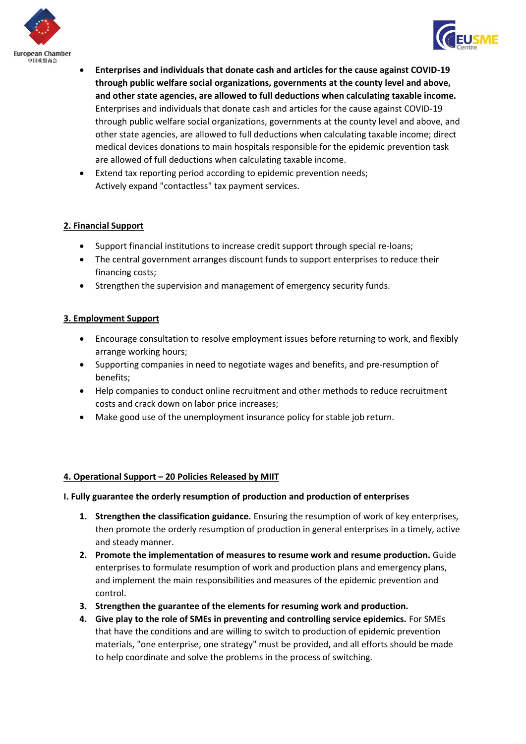



- **Enterprises and individuals that donate cash and articles for the cause against COVID-19 through public welfare social organizations, governments at the county level and above, and other state agencies, are allowed to full deductions when calculating taxable income.** Enterprises and individuals that donate cash and articles for the cause against COVID-19 through public welfare social organizations, governments at the county level and above, and other state agencies, are allowed to full deductions when calculating taxable income; direct medical devices donations to main hospitals responsible for the epidemic prevention task are allowed of full deductions when calculating taxable income.
- Extend tax reporting period according to epidemic prevention needs; Actively expand "contactless" tax payment services.

# **2. Financial Support**

- Support financial institutions to increase credit support through special re-loans;
- The central government arranges discount funds to support enterprises to reduce their financing costs;
- Strengthen the supervision and management of emergency security funds.

# **3. Employment Support**

- Encourage consultation to resolve employment issues before returning to work, and flexibly arrange working hours;
- Supporting companies in need to negotiate wages and benefits, and pre-resumption of benefits;
- Help companies to conduct online recruitment and other methods to reduce recruitment costs and crack down on labor price increases;
- Make good use of the unemployment insurance policy for stable job return.

# **4. Operational Support – 20 Policies Released by MIIT**

#### **I. Fully guarantee the orderly resumption of production and production of enterprises**

- **1. Strengthen the classification guidance.** Ensuring the resumption of work of key enterprises, then promote the orderly resumption of production in general enterprises in a timely, active and steady manner.
- **2. Promote the implementation of measures to resume work and resume production.** Guide enterprises to formulate resumption of work and production plans and emergency plans, and implement the main responsibilities and measures of the epidemic prevention and control.
- **3. Strengthen the guarantee of the elements for resuming work and production.**
- **4. Give play to the role of SMEs in preventing and controlling service epidemics.** For SMEs that have the conditions and are willing to switch to production of epidemic prevention materials, "one enterprise, one strategy" must be provided, and all efforts should be made to help coordinate and solve the problems in the process of switching.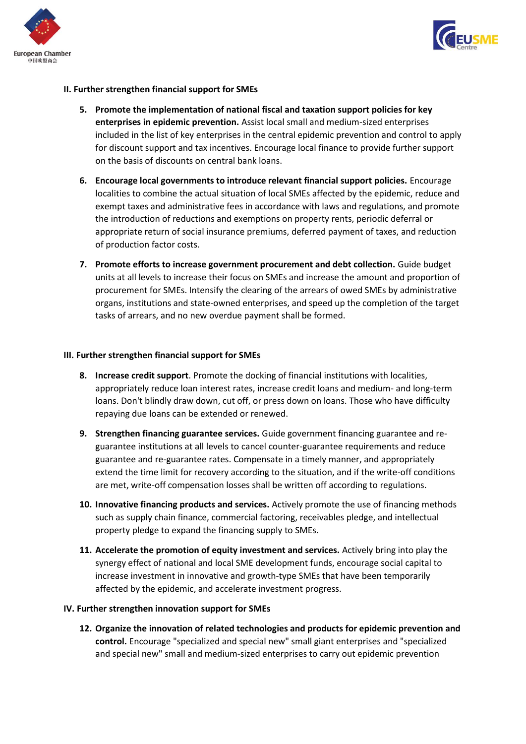



# **II. Further strengthen financial support for SMEs**

- **5. Promote the implementation of national fiscal and taxation support policies for key enterprises in epidemic prevention.** Assist local small and medium-sized enterprises included in the list of key enterprises in the central epidemic prevention and control to apply for discount support and tax incentives. Encourage local finance to provide further support on the basis of discounts on central bank loans.
- **6. Encourage local governments to introduce relevant financial support policies.** Encourage localities to combine the actual situation of local SMEs affected by the epidemic, reduce and exempt taxes and administrative fees in accordance with laws and regulations, and promote the introduction of reductions and exemptions on property rents, periodic deferral or appropriate return of social insurance premiums, deferred payment of taxes, and reduction of production factor costs.
- **7. Promote efforts to increase government procurement and debt collection.** Guide budget units at all levels to increase their focus on SMEs and increase the amount and proportion of procurement for SMEs. Intensify the clearing of the arrears of owed SMEs by administrative organs, institutions and state-owned enterprises, and speed up the completion of the target tasks of arrears, and no new overdue payment shall be formed.

#### **III. Further strengthen financial support for SMEs**

- **8. Increase credit support**. Promote the docking of financial institutions with localities, appropriately reduce loan interest rates, increase credit loans and medium- and long-term loans. Don't blindly draw down, cut off, or press down on loans. Those who have difficulty repaying due loans can be extended or renewed.
- **9. Strengthen financing guarantee services.** Guide government financing guarantee and reguarantee institutions at all levels to cancel counter-guarantee requirements and reduce guarantee and re-guarantee rates. Compensate in a timely manner, and appropriately extend the time limit for recovery according to the situation, and if the write-off conditions are met, write-off compensation losses shall be written off according to regulations.
- **10. Innovative financing products and services.** Actively promote the use of financing methods such as supply chain finance, commercial factoring, receivables pledge, and intellectual property pledge to expand the financing supply to SMEs.
- **11. Accelerate the promotion of equity investment and services.** Actively bring into play the synergy effect of national and local SME development funds, encourage social capital to increase investment in innovative and growth-type SMEs that have been temporarily affected by the epidemic, and accelerate investment progress.

#### **IV. Further strengthen innovation support for SMEs**

**12. Organize the innovation of related technologies and products for epidemic prevention and control.** Encourage "specialized and special new" small giant enterprises and "specialized and special new" small and medium-sized enterprises to carry out epidemic prevention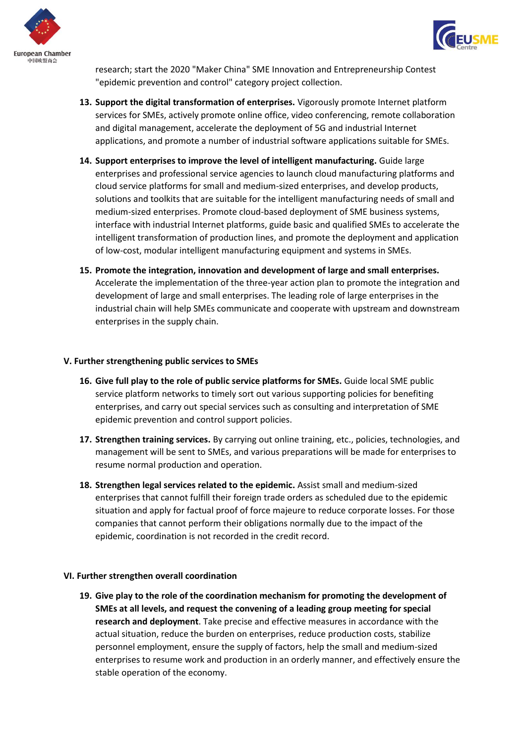



research; start the 2020 "Maker China" SME Innovation and Entrepreneurship Contest "epidemic prevention and control" category project collection.

- **13. Support the digital transformation of enterprises.** Vigorously promote Internet platform services for SMEs, actively promote online office, video conferencing, remote collaboration and digital management, accelerate the deployment of 5G and industrial Internet applications, and promote a number of industrial software applications suitable for SMEs.
- **14. Support enterprises to improve the level of intelligent manufacturing.** Guide large enterprises and professional service agencies to launch cloud manufacturing platforms and cloud service platforms for small and medium-sized enterprises, and develop products, solutions and toolkits that are suitable for the intelligent manufacturing needs of small and medium-sized enterprises. Promote cloud-based deployment of SME business systems, interface with industrial Internet platforms, guide basic and qualified SMEs to accelerate the intelligent transformation of production lines, and promote the deployment and application of low-cost, modular intelligent manufacturing equipment and systems in SMEs.
- **15. Promote the integration, innovation and development of large and small enterprises.**  Accelerate the implementation of the three-year action plan to promote the integration and development of large and small enterprises. The leading role of large enterprises in the industrial chain will help SMEs communicate and cooperate with upstream and downstream enterprises in the supply chain.

#### **V. Further strengthening public services to SMEs**

- **16. Give full play to the role of public service platforms for SMEs.** Guide local SME public service platform networks to timely sort out various supporting policies for benefiting enterprises, and carry out special services such as consulting and interpretation of SME epidemic prevention and control support policies.
- **17. Strengthen training services.** By carrying out online training, etc., policies, technologies, and management will be sent to SMEs, and various preparations will be made for enterprises to resume normal production and operation.
- **18. Strengthen legal services related to the epidemic.** Assist small and medium-sized enterprises that cannot fulfill their foreign trade orders as scheduled due to the epidemic situation and apply for factual proof of force majeure to reduce corporate losses. For those companies that cannot perform their obligations normally due to the impact of the epidemic, coordination is not recorded in the credit record.

#### **VI. Further strengthen overall coordination**

**19. Give play to the role of the coordination mechanism for promoting the development of SMEs at all levels, and request the convening of a leading group meeting for special research and deployment**. Take precise and effective measures in accordance with the actual situation, reduce the burden on enterprises, reduce production costs, stabilize personnel employment, ensure the supply of factors, help the small and medium-sized enterprises to resume work and production in an orderly manner, and effectively ensure the stable operation of the economy.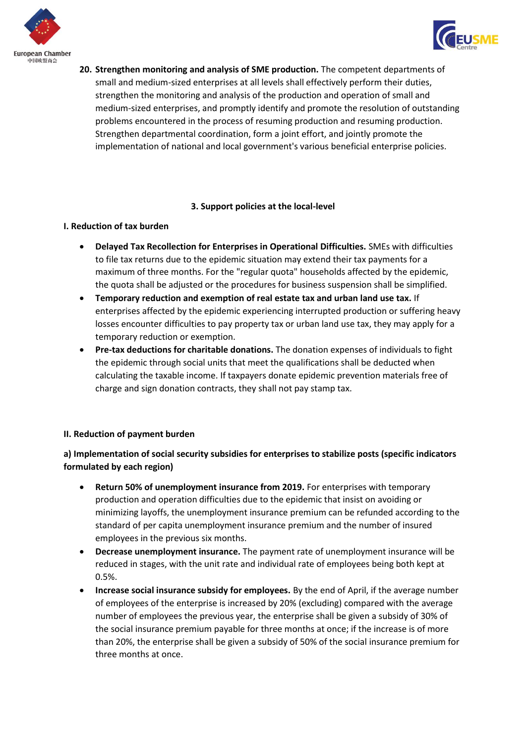



**20. Strengthen monitoring and analysis of SME production.** The competent departments of small and medium-sized enterprises at all levels shall effectively perform their duties, strengthen the monitoring and analysis of the production and operation of small and medium-sized enterprises, and promptly identify and promote the resolution of outstanding problems encountered in the process of resuming production and resuming production. Strengthen departmental coordination, form a joint effort, and jointly promote the implementation of national and local government's various beneficial enterprise policies.

# **3. Support policies at the local-level**

# **I. Reduction of tax burden**

- **Delayed Tax Recollection for Enterprises in Operational Difficulties.** SMEs with difficulties to file tax returns due to the epidemic situation may extend their tax payments for a maximum of three months. For the "regular quota" households affected by the epidemic, the quota shall be adjusted or the procedures for business suspension shall be simplified.
- **Temporary reduction and exemption of real estate tax and urban land use tax.** If enterprises affected by the epidemic experiencing interrupted production or suffering heavy losses encounter difficulties to pay property tax or urban land use tax, they may apply for a temporary reduction or exemption.
- **Pre-tax deductions for charitable donations.** The donation expenses of individuals to fight the epidemic through social units that meet the qualifications shall be deducted when calculating the taxable income. If taxpayers donate epidemic prevention materials free of charge and sign donation contracts, they shall not pay stamp tax.

# **II. Reduction of payment burden**

# **a) Implementation of social security subsidies for enterprises to stabilize posts (specific indicators formulated by each region)**

- **Return 50% of unemployment insurance from 2019.** For enterprises with temporary production and operation difficulties due to the epidemic that insist on avoiding or minimizing layoffs, the unemployment insurance premium can be refunded according to the standard of per capita unemployment insurance premium and the number of insured employees in the previous six months.
- **Decrease unemployment insurance.** The payment rate of unemployment insurance will be reduced in stages, with the unit rate and individual rate of employees being both kept at 0.5%.
- **Increase social insurance subsidy for employees.** By the end of April, if the average number of employees of the enterprise is increased by 20% (excluding) compared with the average number of employees the previous year, the enterprise shall be given a subsidy of 30% of the social insurance premium payable for three months at once; if the increase is of more than 20%, the enterprise shall be given a subsidy of 50% of the social insurance premium for three months at once.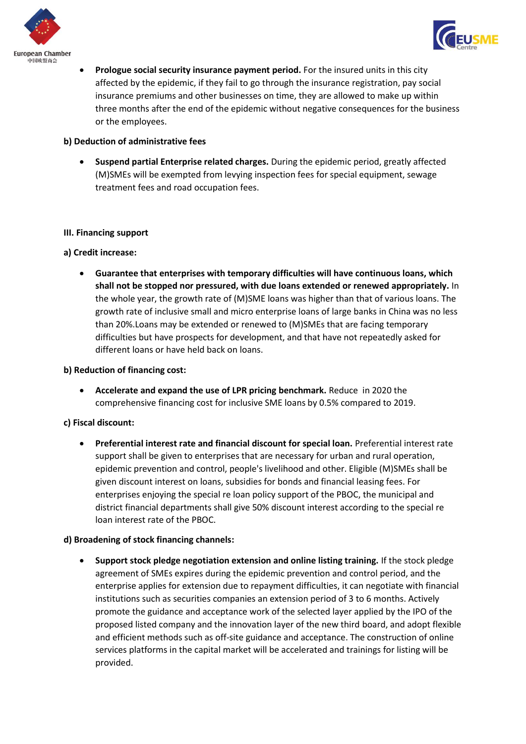



• **Prologue social security insurance payment period.** For the insured units in this city affected by the epidemic, if they fail to go through the insurance registration, pay social insurance premiums and other businesses on time, they are allowed to make up within three months after the end of the epidemic without negative consequences for the business or the employees.

### **b) Deduction of administrative fees**

• **Suspend partial Enterprise related charges.** During the epidemic period, greatly affected (M)SMEs will be exempted from levying inspection fees for special equipment, sewage treatment fees and road occupation fees.

#### **III. Financing support**

# **a) Credit increase:**

• **Guarantee that enterprises with temporary difficulties will have continuous loans, which shall not be stopped nor pressured, with due loans extended or renewed appropriately.** In the whole year, the growth rate of (M)SME loans was higher than that of various loans. The growth rate of inclusive small and micro enterprise loans of large banks in China was no less than 20%.Loans may be extended or renewed to (M)SMEs that are facing temporary difficulties but have prospects for development, and that have not repeatedly asked for different loans or have held back on loans.

# **b) Reduction of financing cost:**

• **Accelerate and expand the use of LPR pricing benchmark.** Reduce in 2020 the comprehensive financing cost for inclusive SME loans by 0.5% compared to 2019.

#### **c) Fiscal discount:**

• **Preferential interest rate and financial discount for special loan.** Preferential interest rate support shall be given to enterprises that are necessary for urban and rural operation, epidemic prevention and control, people's livelihood and other. Eligible (M)SMEs shall be given discount interest on loans, subsidies for bonds and financial leasing fees. For enterprises enjoying the special re loan policy support of the PBOC, the municipal and district financial departments shall give 50% discount interest according to the special re loan interest rate of the PBOC.

#### **d) Broadening of stock financing channels:**

• **Support stock pledge negotiation extension and online listing training.** If the stock pledge agreement of SMEs expires during the epidemic prevention and control period, and the enterprise applies for extension due to repayment difficulties, it can negotiate with financial institutions such as securities companies an extension period of 3 to 6 months. Actively promote the guidance and acceptance work of the selected layer applied by the IPO of the proposed listed company and the innovation layer of the new third board, and adopt flexible and efficient methods such as off-site guidance and acceptance. The construction of online services platforms in the capital market will be accelerated and trainings for listing will be provided.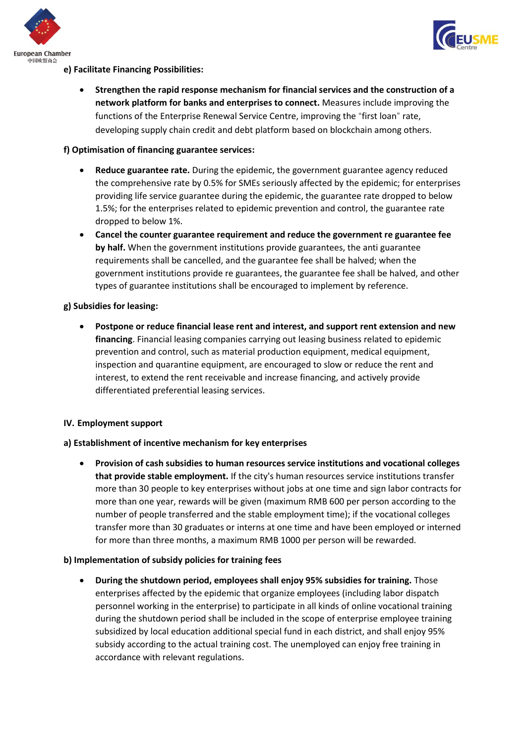



# **e) Facilitate Financing Possibilities:**

• **Strengthen the rapid response mechanism for financial services and the construction of a network platform for banks and enterprises to connect.** Measures include improving the functions of the Enterprise Renewal Service Centre, improving the "first loan" rate, developing supply chain credit and debt platform based on blockchain among others.

# **f) Optimisation of financing guarantee services:**

- **Reduce guarantee rate.** During the epidemic, the government guarantee agency reduced the comprehensive rate by 0.5% for SMEs seriously affected by the epidemic; for enterprises providing life service guarantee during the epidemic, the guarantee rate dropped to below 1.5%; for the enterprises related to epidemic prevention and control, the guarantee rate dropped to below 1%.
- **Cancel the counter guarantee requirement and reduce the government re guarantee fee by half.** When the government institutions provide guarantees, the anti guarantee requirements shall be cancelled, and the guarantee fee shall be halved; when the government institutions provide re guarantees, the guarantee fee shall be halved, and other types of guarantee institutions shall be encouraged to implement by reference.

# **g) Subsidies for leasing:**

• **Postpone or reduce financial lease rent and interest, and support rent extension and new financing**. Financial leasing companies carrying out leasing business related to epidemic prevention and control, such as material production equipment, medical equipment, inspection and quarantine equipment, are encouraged to slow or reduce the rent and interest, to extend the rent receivable and increase financing, and actively provide differentiated preferential leasing services.

#### **IV. Employment support**

#### **a) Establishment of incentive mechanism for key enterprises**

• **Provision of cash subsidies to human resources service institutions and vocational colleges that provide stable employment.** If the city's human resources service institutions transfer more than 30 people to key enterprises without jobs at one time and sign labor contracts for more than one year, rewards will be given (maximum RMB 600 per person according to the number of people transferred and the stable employment time); if the vocational colleges transfer more than 30 graduates or interns at one time and have been employed or interned for more than three months, a maximum RMB 1000 per person will be rewarded.

#### **b) Implementation of subsidy policies for training fees**

• **During the shutdown period, employees shall enjoy 95% subsidies for training.** Those enterprises affected by the epidemic that organize employees (including labor dispatch personnel working in the enterprise) to participate in all kinds of online vocational training during the shutdown period shall be included in the scope of enterprise employee training subsidized by local education additional special fund in each district, and shall enjoy 95% subsidy according to the actual training cost. The unemployed can enjoy free training in accordance with relevant regulations.